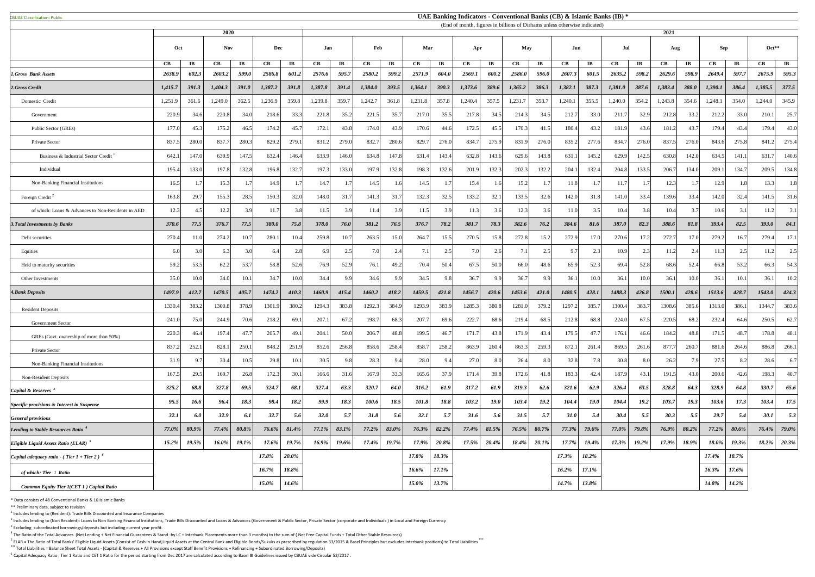CBUAE Classification: Public#

 $<sup>1</sup>$  Includes lending to (Resident): Trade Bills Discounted and Insurance Companies</sup>

 $^2$  Includes lending to (Non Resident): Loans to Non Banking Financial Institutions, Trade Bills Discounted and Loans & Advances (Government & Public Sector, Private Sector (corporate and Individuals) in Local and Foreig  $3$  Excluding subordinated borrowings/deposits but including current year profit.

 $^4$  The Ratio of the Total Advances (Net Lending + Net Financial Guarantees & Stand -by LC + Interbank Placements more than 3 months) to the sum of (Net Free Capital Funds + Total Other Stable Resources)

<sup>5</sup> ELAR = The Ratio of Total Banks' Eligible Liquid Assets (Consist of Cash in Hand,Liquid Assets at the Central Bank and Eligible Bonds/Sukuks as prescribed by regulation 33/2015 & Basel Principles but excludes interbank **\*\*\*** Total Liabilities = Balance Sheet Total Assets - (Capital & Reserves + All Provisions except Staff Benefit Provisions + Refinancing + Subordinated Borrowing/Deposits)

<sup>6</sup> Capital Adequacy Ratio, Tier 1 Ratio and CET 1 Ratio for the period starting from Dec 2017 are calculated according to Basel III Guidelines issued by CBUAE vide Circular 52/2017.

|                                                           |                      |                       |            |                       |         |                        |         |                       |            |                         |                 |                        |                        |                        |         |                         | (End of month, rigures in billions of Diffiants unless otherwise indicated) |                        |         |                        |         |                       |                 |                         |                 |                        |
|-----------------------------------------------------------|----------------------|-----------------------|------------|-----------------------|---------|------------------------|---------|-----------------------|------------|-------------------------|-----------------|------------------------|------------------------|------------------------|---------|-------------------------|-----------------------------------------------------------------------------|------------------------|---------|------------------------|---------|-----------------------|-----------------|-------------------------|-----------------|------------------------|
|                                                           |                      |                       | 2020       |                       |         |                        |         |                       |            |                         |                 |                        |                        |                        |         |                         |                                                                             |                        |         |                        | 2021    |                       |                 |                         |                 |                        |
|                                                           | Oct                  |                       | <b>Nov</b> |                       | Dec     |                        | Jan     |                       | Mar<br>Feb |                         |                 | Apr                    |                        | May                    |         | Jun                     |                                                                             |                        | Jul     |                        | Aug     |                       | <b>Sep</b>      |                         | $Oct**$         |                        |
|                                                           | $\mathbf C\mathbf B$ | $\mathbf{I}$ <b>B</b> | CB         | $\mathbf{I}$ <b>B</b> | CB      | $\mathbf{I}\mathbf{B}$ | CB      | $\mathbf{I}$ <b>B</b> | CB         | $\mathbf{I} \mathbf{B}$ | CB              | $\mathbf{I}\mathbf{B}$ | $\mathbf{C}\mathbf{B}$ | $\mathbf{I}\mathbf{B}$ | CB      | $\mathbf{I} \mathbf{B}$ | CB                                                                          | $\mathbf{I}\mathbf{B}$ | CB      | $\mathbf{I}\mathbf{B}$ | CB      | $\mathbf{I}$ <b>B</b> | $\mathbf{CB}$   | $\mathbf{I} \mathbf{B}$ | CB              | $\mathbf{I}\mathbf{B}$ |
| <b>1.Gross Bank Assets</b>                                | 2638.9               | 602.3                 | 2603.2     | 599.0                 | 2586.8  | 601.2                  | 2576.6  | 595.7                 | 2580.2     | 599.2                   | 2571.9          | 604.0                  | 2569.1                 | 600.2                  | 2586.0  | 596.0                   | 2607.3                                                                      | 601.5                  | 2635.2  | 598.2                  | 2629.6  | 598.9                 | 2649.4          | 597.7                   | 2675.9          | 595.3                  |
| 2.Gross Credit                                            | 1,415.7              | 391.3                 | 1,404.3    | <b>391.0</b>          | 1,387.2 | 391.8                  | 1,387.8 | 391.4                 | 1,384.0    | 393.5                   | 1,364.1         | 390.3                  | 1,373.6                | 389.6                  | 1,365.2 | 386.3                   | 1,382.1                                                                     | 387.3                  | 1,381.0 | 387.6                  | 1,383.4 | 388.0                 | 1,390.1         | 386.4                   | 1,385.5         | 377.5                  |
| Domestic Credit                                           | 1,251.9              | 361.6                 | 1,249.0    | 362.5                 | 1,236.9 | 359.8                  | 1,239.8 | 359.7                 | 1,242.7    | 361.8                   | 1,231.8         | 357.8                  | 1,240.4                | 357.5                  | 1,231.7 | 353.7                   | 1,240.1                                                                     | 355.5                  | 1,240.0 | 354.2                  | 1,243.8 | 354.6                 | 1,248.1         | 354.0                   | 1,244.0         | 345.9                  |
| Government                                                | 220.9                | 34.6                  | 220.8      | 34.0                  | 218.6   | 33.3                   | 221.8   | 35.2                  | 221.3      | 35.7                    | 217.0           | 35.5                   | 217.8                  | 34.5                   | 214.3   | 34.5                    | 212.7                                                                       | 33.0                   | 211.7   | 32.9                   | 212.8   | 33.2                  | 212.2           | 33.0                    | 210.1           | 25.7                   |
| Public Sector (GREs)                                      | 177.0                | 45.3                  | 175.2      | 46.5                  | 174.2   | 45.7                   | 172.    | 43.8                  | 174.0      | 43.9                    | 170.6           | 44.6                   | 172.5                  | 45.5                   | 170.3   | 41.5                    | 180.4                                                                       | 43.2                   | 181.9   | 43.6                   | 181.2   | 43.7                  | 179.4           | 43.4                    | 179.4           | 43.0                   |
| Private Sector                                            | 837.5                | 280.0                 | 837.7      | 280.3                 | 829.2   | 279.1                  | 831.    | 279.0                 | 832.7      | 280.6                   | 829.7           | 276.0                  | 834.                   | 275.9                  | 831.9   | 276.0                   | 835.2                                                                       | 277.6                  | 834.7   | 276.0                  | 837.5   | 276.0                 | 843.6           | 275.8                   | 841.2           | 275.4                  |
| Business & Industrial Sector Credit                       | 642.                 | 147.0                 | 639.9      | 147.5                 | 632.4   | 146.4                  | 633.9   | 146.0                 | 634.8      | 147.8                   | 631.            | 143.4                  | 632.8                  | 143.6                  | 629.6   | 143.8                   | 631.                                                                        | 145.2                  | 629.9   | 142.5                  | 630.8   | 142.0                 | 634.5           | 141.1                   | 631.7           | 140.6                  |
| Individual                                                | 195.4                | 133.0                 | 197.8      | 132.8                 | 196.8   | 132.7                  | 197.3   | 133.0                 | 197.9      | 132.8                   | 198.3           | 132.6                  | 201.9                  | 132.3                  | 202.3   | 132.2                   | 204.1                                                                       | 132.4                  | 204.8   | 133.5                  | 206.7   | 134.0                 | 209.1           | 134.7                   | 209.5           | 134.8                  |
| Non-Banking Financial Institutions                        | 16.5                 |                       | 15.3       |                       | 14.9    | 1.7                    | 14.7    |                       | 14.5       | 1.6 <sup> </sup>        | 14.5            |                        | 15.4                   | 1.6                    | 15.2    |                         | 11.8                                                                        |                        | 11.7    |                        | 12.3    |                       | 12.9            | 1.8                     | 13.3            | 1.8                    |
| Foreign Credit <sup>2</sup>                               | 163.8                | 29.7                  | 155.3      | 28.5                  | 150.3   | 32.0                   | 148.0   | 31.7                  | 141.3      | 31.7                    | 132.3           | 32.5                   | 133.2                  | 32.1                   | 133.5   | 32.6                    | 142.0                                                                       | 31.8                   | 141.0   | 33.4                   | 139.6   | 33.4                  | 142.0           | 32.4                    | 141.5           | 31.6                   |
| of which: Loans & Advances to Non-Residents in AED        | 12.3                 | 4.5                   | 12.2       | 3.9                   |         | 3.8                    | 11.5    | 3.9                   | 11.4       | 3.9                     | 11.5            | 3.9                    | 11.3                   | 3.6                    | 12.3    | 3.6                     | 11.0                                                                        | 3.5                    | 10.4    | 3.8                    | 10.4    |                       | 10.6            | 3.1                     | 11.2            | 3.1                    |
| <b>3. Total Investments by Banks</b>                      | 370.6                | 77.5                  | 376.7      | 77.5                  | 380.0   | 75.8                   | 378.0   | 76.0                  | 381.2      | 76.5                    | 376.7           | 78.2                   | 381.7                  | 78.3                   | 382.6   | 76.2                    | 384.6                                                                       | 81.6                   | 387.0   | 82.3                   | 388.6   | 81.8                  | 393.4           | 82.5                    | 393.0           | 84.1                   |
| Debt securities                                           | 270.4                | 11.0                  | 274.2      | 10.7                  | 280.    | 10.4                   | 259.8   | 10.7                  | 263.3      | 15.0                    | 264.7           | 15.5                   | 270.5                  | 15.8                   | 272.8   | 15.2                    | 272.9                                                                       |                        | 270.6   | 17.2                   | 272.7   | 17.0                  | 279.2           | 16.7                    | 279.4           | 17.1                   |
| Equities                                                  | 6.0                  |                       | 6.3        | 3.0                   | 6.4     | 2.8                    | 6.9     | 2.5                   | 7.0        | 2.4                     | 7 <sub>1</sub>  | 2.5                    | 7 Q                    | 2.6                    | 7.1     | 2.5                     | 9.7                                                                         | 2.3                    |         | 2.3                    | 11.2    |                       | 11.3            | 2.5                     | 11.2            | 2.5                    |
| Held to maturity securities                               | 59.2                 | 53.5                  | 62.2       | 53.7                  | 58.8    | 52.6                   | 76.9    | 52.9                  | 76.        | 49.2                    | 70.4            | 50.4                   | 67.5                   | 50.0                   | 66.0    | 48.6                    | 65.9                                                                        | 52.3                   | 69.4    | 52.8                   | 68.6    | 52.4                  | 66.8            | 53.2                    | 66.3            | 54.3                   |
| Other Investments                                         | 35.0                 | 10.0                  | 34.0       | 10.1                  | 34.7    | 10.0                   | 34.4    |                       | 34.6       | 9.9                     | 34.5            | 9.8                    | 36.7                   | 9.9                    | 36.7    | 9.9                     | 36.1                                                                        | 10.0                   | 36.1    | 10.0                   | 36.1    | 10.0                  | 36.1            | 10.1                    | 36.1            | 10.2                   |
| <b>4.Bank Deposits</b>                                    | 1497.9               | 412.7                 | 1470.5     | 405.7                 | 1474.2  | 410.3                  | 1460.9  | 415.4                 | 1460.2     | 418.2                   | 1459.5          | 421.8                  | 1456.7                 | 420.6                  | 1453.6  | 421.0                   | 1480.5                                                                      | 428.1                  | 1488.3  | 426.8                  | 1500.1  | 428.6                 | 1513.6          | 428.7                   | 1543.0          | 424.3                  |
| <b>Resident Deposits</b>                                  | 1330.4               | 383.2                 | 1300.8     | 378.9                 | 1301.9  | 380.2                  | 1294.3  | 383.8                 | 1292.3     | 384.9                   | 1293.9          | 383.9                  | 1285.                  | 380.8                  | 1281.0  | 379.2                   | 1297.2                                                                      | 385.                   | 1300.4  | 383.7                  | 1308.6  | 385.6                 | 1313.0          | 386.1                   | 1344.7          | 383.6                  |
| <b>Government Sector</b>                                  | 241.0                | 75.0                  | 244.9      | 70.6                  | 218.2   | 69.1                   | 207.    | 67.2                  | 198.7      | 68.3                    | 207.7           | 69.6                   | 222.7                  | 68.6                   | 219.4   | 68.5                    | 212.8                                                                       | 68.8                   | 224.0   | 67.5                   | 220.5   | 68.2                  | 232.4           | 64.6                    | 250.5           | 62.7                   |
| GREs (Govt. ownership of more than 50%)                   | 220.3                | 46.4                  | 197.4      | 47.7                  | 205.7   | 49.1                   | 204.    | 50.0                  | 206.7      | 48.8                    | 199.5           | 46.7                   | 171.                   | 43.8                   | 171.9   | 43.4                    | 179.5                                                                       | 47.7                   | 176.1   | 46.6                   | 184.2   | 48.8                  | 171.5           | 48.7                    | 178.8           | 48.1                   |
| Private Sector                                            | 837.2                | 252.                  | 828.       | 250.1                 | 848.2   | 251.9                  | 852.6   | 256.8                 | 858.6      | 258.4                   | 858.            | 258.2                  | 863.9                  | 260.4                  | 863.3   | 259.3                   | 872.                                                                        | 261.4                  | 869.5   | 261.6                  | 877.7   | 260.                  | 881.6           | 264.6                   | 886.8           | 266.1                  |
| Non-Banking Financial Institutions                        | 31.9                 | 9.                    | 30.4       | 10.5                  | 29.8    | 10.1                   | 30.5    |                       | 28.3       | 9.4                     | 28.0            | 9.4                    | 27.0                   | 8.0                    | 26.4    | 8.0                     | 32.8                                                                        | 7.8                    | 30.8    | 8.0                    | 26.2    | 7.9                   | 27.5            | 8.2                     | 28.6            | 6.7                    |
| <b>Non-Resident Deposits</b>                              | 167.5                | 29.5                  | 169.7      | 26.8                  | 172.3   | 30.1                   | 166.6   | 31.6                  | 167.9      | 33.3                    | 165.6           | 37.9                   | 171.                   | 39.8                   | 172.6   | 41.8                    | 183.3                                                                       | 42.4                   | 187.9   | 43.1                   | 191.5   | 43.0                  | 200.6           | 42.6                    | 198.3           | 40.7                   |
| Capital & Reserves <sup>3</sup>                           | 325.2                | 68.8                  | 327.8      | 69.5                  | 324.7   | 68.1                   | 327.4   | 63.3                  | 320.7      | 64.0                    | 316.2           | 61.9                   | 317.2                  | 61.9                   | 319.3   | 62.6                    | 321.6                                                                       | 62.9                   | 326.4   | 63.5                   | 328.8   | 64.3                  | 328.9           | 64.8                    | 330.7           | 65.6                   |
| <b>Specific provisions &amp; Interest in Suspense</b>     | 95.5                 | 16.6                  | 96.4       | 18.3                  | 98.4    | 18.2                   | 99.9    | 18.3                  | 100.6      | 18.5                    | 101.8           | 18.8                   | 103.2                  | <b>19.0</b>            | 103.4   | 19.2                    | 104.4                                                                       | <b>19.0</b>            | 104.4   | 19.2                   | 103.7   | 19.3                  | 103.6           | 17.3                    | 103.4           | 17.5                   |
| <b>General provisions</b>                                 | <b>32.1</b>          | 6.0                   | 32.9       | 6.1                   | 32.7    | 5.6                    | 32.0    | 5.7                   | 31.8       | 5.6                     | 32.1            | 5.7                    | 31.6                   | 5.6                    | 31.5    | 5.7                     | 31.0                                                                        | 5.4                    | 30.4    | 5.5                    | 30.3    | 5.5                   | 29.7            | 5.4                     | 30.1            | 5.3                    |
| Lending to Stable Resources Ratio                         | 77.0%                | 80.9%                 | 77.4%      | 80.8%                 | 76.6%   | $81.4\%$               | 77.1%   | 83.1%                 | 77.2%      | 83.0%                   | 76.3%           | 82.2%                  | 77.4%                  | 81.5%                  | 76.5%   | 80.7%                   | 77.3%                                                                       | 79.6%                  | 77.0%   | 79.8%                  | 76.9%   | 80.2%                 | 77.2%           | 80.6%                   | 76.4%           | 79.0%                  |
| Eligible Liquid Assets Ratio (ELAR)                       | 15.2%                | 10.5%<br>1/2/2        | $16.0\%$   | 10 1%<br>1/1/         | 17.6%   | 197%<br>1/1/0          | 16.9%   | 19.6%                 | 17.4%      | 19.7%<br>17.770         | 17.9%<br>11.770 | 20.8%                  | 17.5%                  | 20.4%                  | 18.4%   | 20.1%                   | 17.7%                                                                       | 19.4%                  | 17.3%   | 10.2%<br>1/2/0         | 17.9%   | 18.9%                 | 18.0%<br>10.070 | 19.3%                   | 18.2%<br>10.270 | 20.3%                  |
| Capital adequacy ratio - (Tier $1 +$ Tier 2) <sup>6</sup> |                      |                       |            |                       | 17.8%   | 20.0%                  |         |                       |            |                         | 17.8%           | 18.3%                  |                        |                        |         |                         | 17.3%                                                                       | 18.2%                  |         |                        |         |                       | 17.4%           | 18.7%                   |                 |                        |
| of which: Tier 1 Ratio                                    |                      |                       |            |                       | 16.7%   | 18.8%                  |         |                       |            |                         | 16.6%           | 17.1%                  |                        |                        |         |                         | 16.2%                                                                       | 17.1%                  |         |                        |         |                       | 16.3%           | 17.6%                   |                 |                        |
| Common Equity Tier 1(CET 1) Capital Ratio                 |                      |                       |            |                       | 15.0%   | <b>14.6%</b>           |         |                       |            |                         | 15.0%           | 13.7%                  |                        |                        |         |                         | 14.7%                                                                       | 13.8%                  |         |                        |         |                       | 14.8%           | $14.2\%$                |                 |                        |

\* Data consists of 48 Conventional Banks & 10 Islamic Banks

\*\* Preliminary data, subject to revision

## **UAE Banking Indicators - Conventional Banks (CB) & Islamic Banks (IB) \***

(End of month, figures in billions of Dirhams unless otherwise indicated)